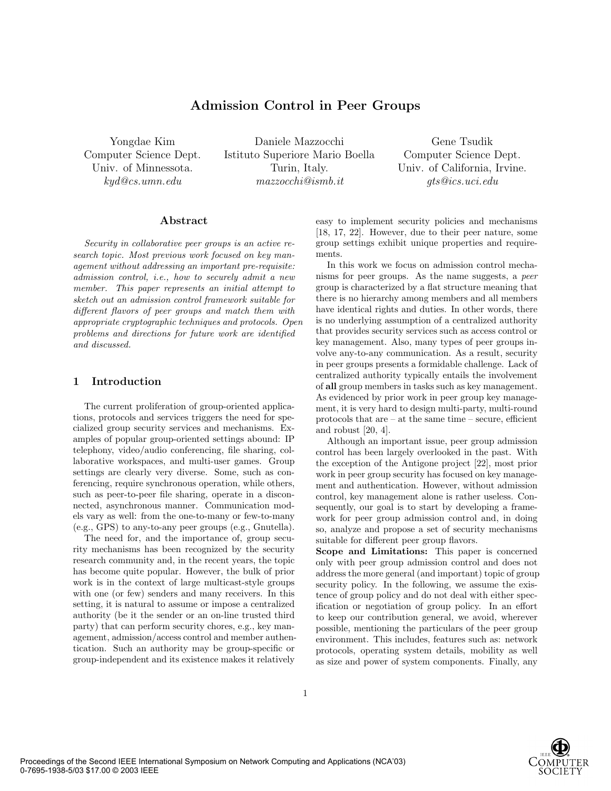# **Admission Control in Peer Groups**

Yongdae Kim Computer Science Dept. Univ. of Minnessota. *kyd@cs.umn.edu*

Daniele Mazzocchi Istituto Superiore Mario Boella Turin, Italy. *mazzocchi@ismb.it*

Gene Tsudik Computer Science Dept. Univ. of California, Irvine. *gts@ics.uci.edu*

# **Abstract**

Security in collaborative peer groups is an active research topic. Most previous work focused on key management without addressing an important pre-requisite: admission control, i.e., how to securely admit a new member. This paper represents an initial attempt to sketch out an admission control framework suitable for different flavors of peer groups and match them with appropriate cryptographic techniques and protocols. Open problems and directions for future work are identified and discussed.

# **1 Introduction**

The current proliferation of group-oriented applications, protocols and services triggers the need for specialized group security services and mechanisms. Examples of popular group-oriented settings abound: IP telephony, video/audio conferencing, file sharing, collaborative workspaces, and multi-user games. Group settings are clearly very diverse. Some, such as conferencing, require synchronous operation, while others, such as peer-to-peer file sharing, operate in a disconnected, asynchronous manner. Communication models vary as well: from the one-to-many or few-to-many (e.g., GPS) to any-to-any peer groups (e.g., Gnutella).

The need for, and the importance of, group security mechanisms has been recognized by the security research community and, in the recent years, the topic has become quite popular. However, the bulk of prior work is in the context of large multicast-style groups with one (or few) senders and many receivers. In this setting, it is natural to assume or impose a centralized authority (be it the sender or an on-line trusted third party) that can perform security chores, e.g., key management, admission/access control and member authentication. Such an authority may be group-specific or group-independent and its existence makes it relatively

easy to implement security policies and mechanisms [18, 17, 22]. However, due to their peer nature, some group settings exhibit unique properties and requirements.

In this work we focus on admission control mechanisms for peer groups. As the name suggests, a peer group is characterized by a flat structure meaning that there is no hierarchy among members and all members have identical rights and duties. In other words, there is no underlying assumption of a centralized authority that provides security services such as access control or key management. Also, many types of peer groups involve any-to-any communication. As a result, security in peer groups presents a formidable challenge. Lack of centralized authority typically entails the involvement of **all** group members in tasks such as key management. As evidenced by prior work in peer group key management, it is very hard to design multi-party, multi-round protocols that are  $-$  at the same time  $-$  secure, efficient and robust [20, 4].

Although an important issue, peer group admission control has been largely overlooked in the past. With the exception of the Antigone project [22], most prior work in peer group security has focused on key management and authentication. However, without admission control, key management alone is rather useless. Consequently, our goal is to start by developing a framework for peer group admission control and, in doing so, analyze and propose a set of security mechanisms suitable for different peer group flavors.

**Scope and Limitations:** This paper is concerned only with peer group admission control and does not address the more general (and important) topic of group security policy. In the following, we assume the existence of group policy and do not deal with either specification or negotiation of group policy. In an effort to keep our contribution general, we avoid, wherever possible, mentioning the particulars of the peer group environment. This includes, features such as: network protocols, operating system details, mobility as well as size and power of system components. Finally, any

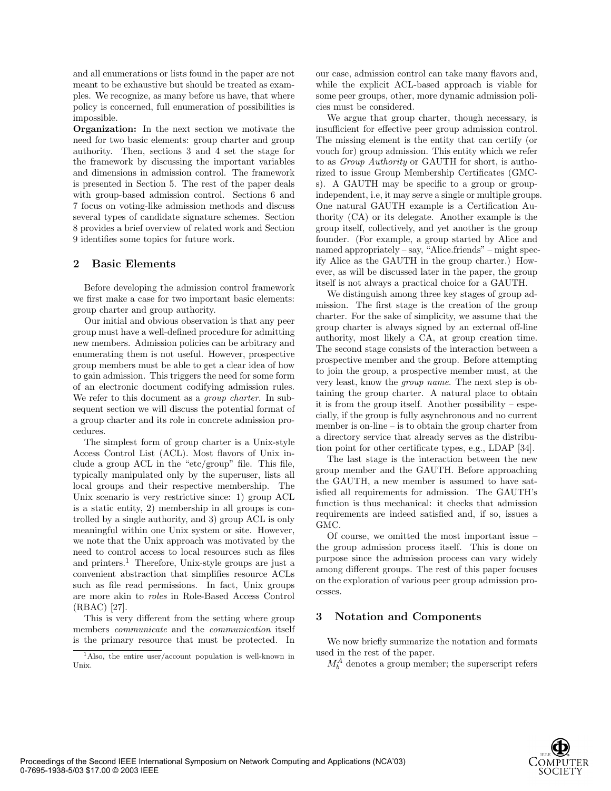and all enumerations or lists found in the paper are not meant to be exhaustive but should be treated as examples. We recognize, as many before us have, that where policy is concerned, full enumeration of possibilities is impossible.

**Organization:** In the next section we motivate the need for two basic elements: group charter and group authority. Then, sections 3 and 4 set the stage for the framework by discussing the important variables and dimensions in admission control. The framework is presented in Section 5. The rest of the paper deals with group-based admission control. Sections 6 and 7 focus on voting-like admission methods and discuss several types of candidate signature schemes. Section 8 provides a brief overview of related work and Section 9 identifies some topics for future work.

# **2 Basic Elements**

Before developing the admission control framework we first make a case for two important basic elements: group charter and group authority.

Our initial and obvious observation is that any peer group must have a well-defined procedure for admitting new members. Admission policies can be arbitrary and enumerating them is not useful. However, prospective group members must be able to get a clear idea of how to gain admission. This triggers the need for some form of an electronic document codifying admission rules. We refer to this document as a *group charter*. In subsequent section we will discuss the potential format of a group charter and its role in concrete admission procedures.

The simplest form of group charter is a Unix-style Access Control List (ACL). Most flavors of Unix include a group ACL in the "etc/group" file. This file, typically manipulated only by the superuser, lists all local groups and their respective membership. The Unix scenario is very restrictive since: 1) group ACL is a static entity, 2) membership in all groups is controlled by a single authority, and 3) group ACL is only meaningful within one Unix system or site. However, we note that the Unix approach was motivated by the need to control access to local resources such as files and printers.<sup>1</sup> Therefore, Unix-style groups are just a convenient abstraction that simplifies resource ACLs such as file read permissions. In fact, Unix groups are more akin to roles in Role-Based Access Control (RBAC) [27].

This is very different from the setting where group members *communicate* and the *communication* itself is the primary resource that must be protected. In

our case, admission control can take many flavors and, while the explicit ACL-based approach is viable for some peer groups, other, more dynamic admission policies must be considered.

We argue that group charter, though necessary, is insufficient for effective peer group admission control. The missing element is the entity that can certify (or vouch for) group admission. This entity which we refer to as Group Authority or GAUTH for short, is authorized to issue Group Membership Certificates (GMCs). A GAUTH may be specific to a group or groupindependent, i.e, it may serve a single or multiple groups. One natural GAUTH example is a Certification Authority (CA) or its delegate. Another example is the group itself, collectively, and yet another is the group founder. (For example, a group started by Alice and named appropriately – say, "Alice.friends" – might specify Alice as the GAUTH in the group charter.) However, as will be discussed later in the paper, the group itself is not always a practical choice for a GAUTH.

We distinguish among three key stages of group admission. The first stage is the creation of the group charter. For the sake of simplicity, we assume that the group charter is always signed by an external off-line authority, most likely a CA, at group creation time. The second stage consists of the interaction between a prospective member and the group. Before attempting to join the group, a prospective member must, at the very least, know the group name. The next step is obtaining the group charter. A natural place to obtain it is from the group itself. Another possibility – especially, if the group is fully asynchronous and no current member is on-line – is to obtain the group charter from a directory service that already serves as the distribution point for other certificate types, e.g., LDAP [34].

The last stage is the interaction between the new group member and the GAUTH. Before approaching the GAUTH, a new member is assumed to have satisfied all requirements for admission. The GAUTH's function is thus mechanical: it checks that admission requirements are indeed satisfied and, if so, issues a GMC.

Of course, we omitted the most important issue – the group admission process itself. This is done on purpose since the admission process can vary widely among different groups. The rest of this paper focuses on the exploration of various peer group admission processes.

# **3 Notation and Components**

We now briefly summarize the notation and formats used in the rest of the paper.

 $M_b^A$  denotes a group member; the superscript refers



<sup>1</sup>Also, the entire user/account population is well-known in Unix.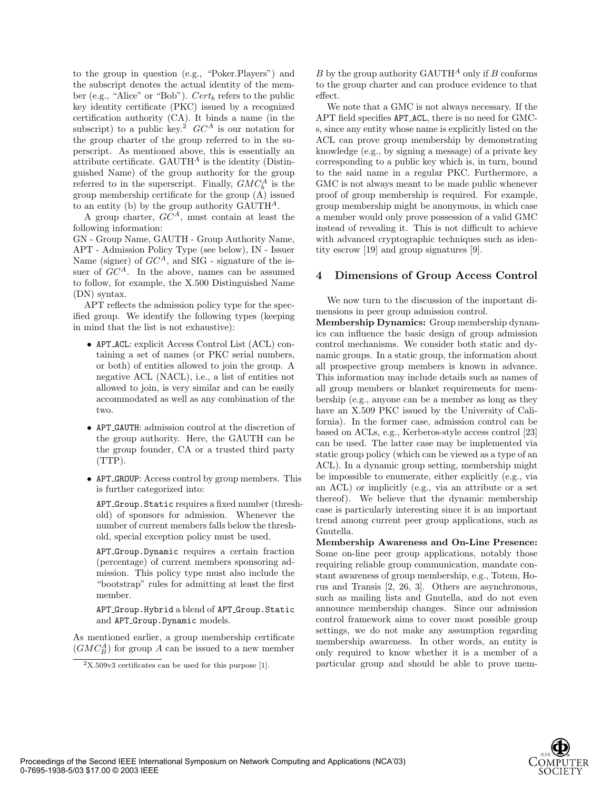to the group in question (e.g., "Poker.Players") and the subscript denotes the actual identity of the member (e.g., "Alice" or "Bob"). *Cert<sup>b</sup>* refers to the public key identity certificate (PKC) issued by a recognized certification authority (CA). It binds a name (in the subscript) to a public key.<sup>2</sup>  $GC^A$  is our notation for the group charter of the group referred to in the superscript. As mentioned above, this is essentially an attribute certificate.  $GAUTH<sup>A</sup>$  is the identity (Distinguished Name) of the group authority for the group referred to in the superscript. Finally,  $GMC_b^A$  is the group membership certificate for the group  $(\overline{A})$  issued to an entity (b) by the group authority GAUTH*<sup>A</sup>*.

A group charter, *GC<sup>A</sup>*, must contain at least the following information:

GN - Group Name, GAUTH - Group Authority Name, APT - Admission Policy Type (see below), IN - Issuer Name (signer) of *GC<sup>A</sup>*, and SIG - signature of the issuer of  $GC^A$ . In the above, names can be assumed to follow, for example, the X.500 Distinguished Name (DN) syntax.

APT reflects the admission policy type for the specified group. We identify the following types (keeping in mind that the list is not exhaustive):

- *•* APT ACL: explicit Access Control List (ACL) containing a set of names (or PKC serial numbers, or both) of entities allowed to join the group. A negative ACL (NACL), i.e., a list of entities not allowed to join, is very similar and can be easily accommodated as well as any combination of the two.
- *•* APT GAUTH: admission control at the discretion of the group authority. Here, the GAUTH can be the group founder, CA or a trusted third party (TTP).
- *•* APT GROUP: Access control by group members. This is further categorized into:

APT Group.Static requires a fixed number (threshold) of sponsors for admission. Whenever the number of current members falls below the threshold, special exception policy must be used.

APT Group.Dynamic requires a certain fraction (percentage) of current members sponsoring admission. This policy type must also include the "bootstrap" rules for admitting at least the first member.

APT Group.Hybrid a blend of APT Group.Static and APT Group.Dynamic models.

As mentioned earlier, a group membership certificate  $(GMC_B^A)$  for group *A* can be issued to a new member

*B* by the group authority GAUTH*<sup>A</sup>* only if *B* conforms to the group charter and can produce evidence to that effect.

We note that a GMC is not always necessary. If the APT field specifies APT ACL, there is no need for GMCs, since any entity whose name is explicitly listed on the ACL can prove group membership by demonstrating knowledge (e.g., by signing a message) of a private key corresponding to a public key which is, in turn, bound to the said name in a regular PKC. Furthermore, a GMC is not always meant to be made public whenever proof of group membership is required. For example, group membership might be anonymous, in which case a member would only prove possession of a valid GMC instead of revealing it. This is not difficult to achieve with advanced cryptographic techniques such as identity escrow [19] and group signatures [9].

#### **4 Dimensions of Group Access Control**

We now turn to the discussion of the important dimensions in peer group admission control.

**Membership Dynamics:** Group membership dynamics can influence the basic design of group admission control mechanisms. We consider both static and dynamic groups. In a static group, the information about all prospective group members is known in advance. This information may include details such as names of all group members or blanket requirements for membership (e.g., anyone can be a member as long as they have an X.509 PKC issued by the University of California). In the former case, admission control can be based on ACLs, e.g., Kerberos-style access control [23] can be used. The latter case may be implemented via static group policy (which can be viewed as a type of an ACL). In a dynamic group setting, membership might be impossible to enumerate, either explicitly (e.g., via an ACL) or implicitly (e.g., via an attribute or a set thereof). We believe that the dynamic membership case is particularly interesting since it is an important trend among current peer group applications, such as Gnutella.

**Membership Awareness and On-Line Presence:** Some on-line peer group applications, notably those requiring reliable group communication, mandate constant awareness of group membership, e.g., Totem, Horus and Transis [2, 26, 3]. Others are asynchronous, such as mailing lists and Gnutella, and do not even announce membership changes. Since our admission control framework aims to cover most possible group settings, we do not make any assumption regarding membership awareness. In other words, an entity is only required to know whether it is a member of a particular group and should be able to prove mem-



 $2X.509v3$  certificates can be used for this purpose [1].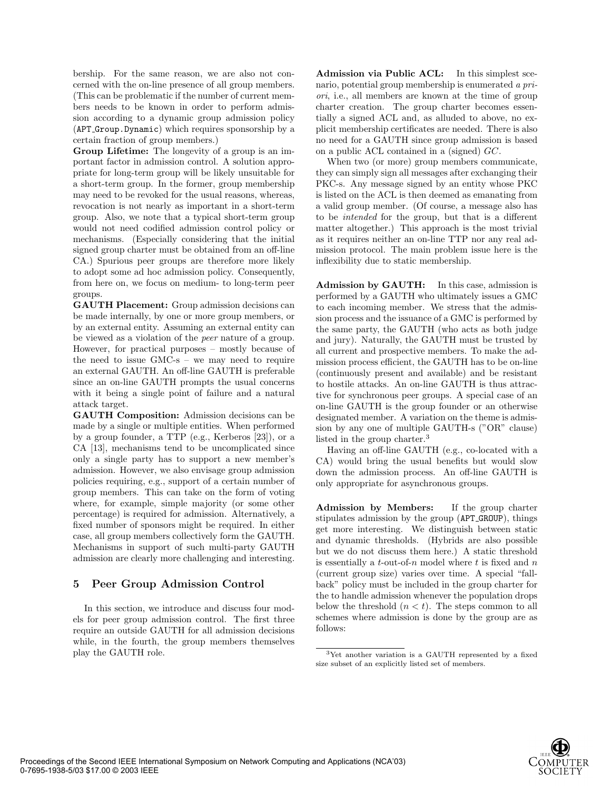bership. For the same reason, we are also not concerned with the on-line presence of all group members. (This can be problematic if the number of current members needs to be known in order to perform admission according to a dynamic group admission policy (APT Group.Dynamic) which requires sponsorship by a certain fraction of group members.)

**Group Lifetime:** The longevity of a group is an important factor in admission control. A solution appropriate for long-term group will be likely unsuitable for a short-term group. In the former, group membership may need to be revoked for the usual reasons, whereas, revocation is not nearly as important in a short-term group. Also, we note that a typical short-term group would not need codified admission control policy or mechanisms. (Especially considering that the initial signed group charter must be obtained from an off-line CA.) Spurious peer groups are therefore more likely to adopt some ad hoc admission policy. Consequently, from here on, we focus on medium- to long-term peer groups.

**GAUTH Placement:** Group admission decisions can be made internally, by one or more group members, or by an external entity. Assuming an external entity can be viewed as a violation of the peer nature of a group. However, for practical purposes – mostly because of the need to issue GMC-s – we may need to require an external GAUTH. An off-line GAUTH is preferable since an on-line GAUTH prompts the usual concerns with it being a single point of failure and a natural attack target.

**GAUTH Composition:** Admission decisions can be made by a single or multiple entities. When performed by a group founder, a TTP (e.g., Kerberos [23]), or a CA [13], mechanisms tend to be uncomplicated since only a single party has to support a new member's admission. However, we also envisage group admission policies requiring, e.g., support of a certain number of group members. This can take on the form of voting where, for example, simple majority (or some other percentage) is required for admission. Alternatively, a fixed number of sponsors might be required. In either case, all group members collectively form the GAUTH. Mechanisms in support of such multi-party GAUTH admission are clearly more challenging and interesting.

# **5 Peer Group Admission Control**

In this section, we introduce and discuss four models for peer group admission control. The first three require an outside GAUTH for all admission decisions while, in the fourth, the group members themselves play the GAUTH role.

**Admission via Public ACL:** In this simplest scenario, potential group membership is enumerated a priori, i.e., all members are known at the time of group charter creation. The group charter becomes essentially a signed ACL and, as alluded to above, no explicit membership certificates are needed. There is also no need for a GAUTH since group admission is based on a public ACL contained in a (signed) *GC*.

When two (or more) group members communicate, they can simply sign all messages after exchanging their PKC-s. Any message signed by an entity whose PKC is listed on the ACL is then deemed as emanating from a valid group member. (Of course, a message also has to be intended for the group, but that is a different matter altogether.) This approach is the most trivial as it requires neither an on-line TTP nor any real admission protocol. The main problem issue here is the inflexibility due to static membership.

**Admission by GAUTH:** In this case, admission is performed by a GAUTH who ultimately issues a GMC to each incoming member. We stress that the admission process and the issuance of a GMC is performed by the same party, the GAUTH (who acts as both judge and jury). Naturally, the GAUTH must be trusted by all current and prospective members. To make the admission process efficient, the GAUTH has to be on-line (continuously present and available) and be resistant to hostile attacks. An on-line GAUTH is thus attractive for synchronous peer groups. A special case of an on-line GAUTH is the group founder or an otherwise designated member. A variation on the theme is admission by any one of multiple GAUTH-s ("OR" clause) listed in the group charter.<sup>3</sup>

Having an off-line GAUTH (e.g., co-located with a CA) would bring the usual benefits but would slow down the admission process. An off-line GAUTH is only appropriate for asynchronous groups.

**Admission by Members:** If the group charter stipulates admission by the group (APT GROUP), things get more interesting. We distinguish between static and dynamic thresholds. (Hybrids are also possible but we do not discuss them here.) A static threshold is essentially a *t*-out-of-*n* model where *t* is fixed and *n* (current group size) varies over time. A special "fallback" policy must be included in the group charter for the to handle admission whenever the population drops below the threshold  $(n < t)$ . The steps common to all schemes where admission is done by the group are as follows:



<sup>&</sup>lt;sup>3</sup>Yet another variation is a GAUTH represented by a fixed size subset of an explicitly listed set of members.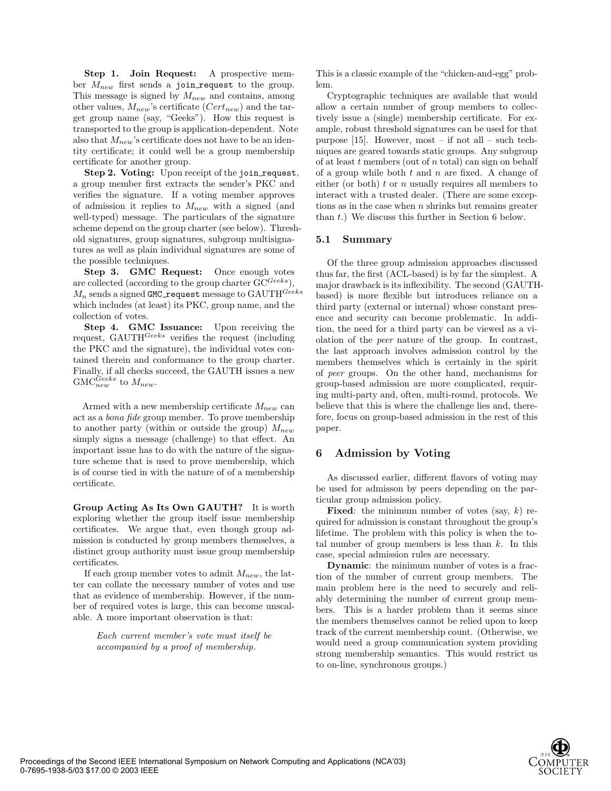**Step 1. Join Request:** A prospective member  $M_{new}$  first sends a join request to the group. This message is signed by *Mnew* and contains, among other values, *Mnew*'s certificate (*Certnew*) and the target group name (say, "Geeks"). How this request is transported to the group is application-dependent. Note also that *Mnew*'s certificate does not have to be an identity certificate; it could well be a group membership certificate for another group.

**Step 2. Voting:** Upon receipt of the join request, a group member first extracts the sender's PKC and verifies the signature. If a voting member approves of admission it replies to *Mnew* with a signed (and well-typed) message. The particulars of the signature scheme depend on the group charter (see below). Threshold signatures, group signatures, subgroup multisignatures as well as plain individual signatures are some of the possible techniques.

**Step 3. GMC Request:** Once enough votes are collected (according to the group charter GC*Geeks*),  $M_n$  sends a signed GMC\_request message to  $\mathrm{GAUTH}^{G\acute{e}eks}$ which includes (at least) its PKC, group name, and the collection of votes.

**Step 4. GMC Issuance:** Upon receiving the request, GAUTH*Geeks* verifies the request (including the PKC and the signature), the individual votes contained therein and conformance to the group charter. Finally, if all checks succeed, the GAUTH issues a new GMC<sup>*Geeks*</sup> to  $M_{new}$ .

Armed with a new membership certificate *Mnew* can act as a bona fide group member. To prove membership to another party (within or outside the group) *Mnew* simply signs a message (challenge) to that effect. An important issue has to do with the nature of the signature scheme that is used to prove membership, which is of course tied in with the nature of of a membership certificate.

**Group Acting As Its Own GAUTH?** It is worth exploring whether the group itself issue membership certificates. We argue that, even though group admission is conducted by group members themselves, a distinct group authority must issue group membership certificates.

If each group member votes to admit *Mnew*, the latter can collate the necessary number of votes and use that as evidence of membership. However, if the number of required votes is large, this can become unscalable. A more important observation is that:

> Each current member's vote must itself be accompanied by a proof of membership.

This is a classic example of the "chicken-and-egg" problem.

Cryptographic techniques are available that would allow a certain number of group members to collectively issue a (single) membership certificate. For example, robust threshold signatures can be used for that purpose [15]. However, most – if not all – such techniques are geared towards static groups. Any subgroup of at least *t* members (out of *n* total) can sign on behalf of a group while both *t* and *n* are fixed. A change of either (or both) *t* or *n* usually requires all members to interact with a trusted dealer. (There are some exceptions as in the case when *n* shrinks but remains greater than *t*.) We discuss this further in Section 6 below.

#### **5.1 Summary**

Of the three group admission approaches discussed thus far, the first (ACL-based) is by far the simplest. A major drawback is its inflexibility. The second (GAUTHbased) is more flexible but introduces reliance on a third party (external or internal) whose constant presence and security can become problematic. In addition, the need for a third party can be viewed as a violation of the peer nature of the group. In contrast, the last approach involves admission control by the members themselves which is certainly in the spirit of peer groups. On the other hand, mechanisms for group-based admission are more complicated, requiring multi-party and, often, multi-round, protocols. We believe that this is where the challenge lies and, therefore, focus on group-based admission in the rest of this paper.

# **6 Admission by Voting**

As discussed earlier, different flavors of voting may be used for admisson by peers depending on the particular group admission policy.

**Fixed**: the minimum number of votes (say, *k*) required for admission is constant throughout the group's lifetime. The problem with this policy is when the total number of group members is less than *k*. In this case, special admission rules are necessary.

**Dynamic**: the minimum number of votes is a fraction of the number of current group members. The main problem here is the need to securely and reliably determining the number of current group members. This is a harder problem than it seems since the members themselves cannot be relied upon to keep track of the current membership count. (Otherwise, we would need a group communication system providing strong membership semantics. This would restrict us to on-line, synchronous groups.)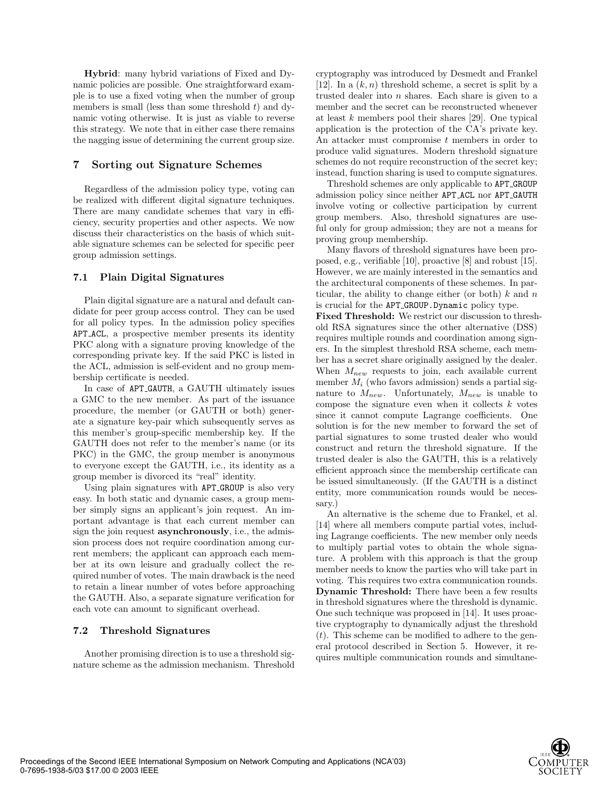**Hybrid**: many hybrid variations of Fixed and Dynamic policies are possible. One straightforward example is to use a fixed voting when the number of group members is small (less than some threshold *t*) and dynamic voting otherwise. It is just as viable to reverse this strategy. We note that in either case there remains the nagging issue of determining the current group size.

# **7 Sorting out Signature Schemes**

Regardless of the admission policy type, voting can be realized with different digital signature techniques. There are many candidate schemes that vary in efficiency, security properties and other aspects. We now discuss their characteristics on the basis of which suitable signature schemes can be selected for specific peer group admission settings.

# **7.1 Plain Digital Signatures**

Plain digital signature are a natural and default candidate for peer group access control. They can be used for all policy types. In the admission policy specifies APT ACL, a prospective member presents its identity PKC along with a signature proving knowledge of the corresponding private key. If the said PKC is listed in the ACL, admission is self-evident and no group membership certificate is needed.

In case of APT GAUTH, a GAUTH ultimately issues a GMC to the new member. As part of the issuance procedure, the member (or GAUTH or both) generate a signature key-pair which subsequently serves as this member's group-specific membership key. If the GAUTH does not refer to the member's name (or its PKC) in the GMC, the group member is anonymous to everyone except the GAUTH, i.e., its identity as a group member is divorced its "real" identity.

Using plain signatures with APT GROUP is also very easy. In both static and dynamic cases, a group member simply signs an applicant's join request. An important advantage is that each current member can sign the join request **asynchronously**, i.e., the admission process does not require coordination among current members; the applicant can approach each member at its own leisure and gradually collect the required number of votes. The main drawback is the need to retain a linear number of votes before approaching the GAUTH. Also, a separate signature verification for each vote can amount to significant overhead.

#### **7.2 Threshold Signatures**

Another promising direction is to use a threshold signature scheme as the admission mechanism. Threshold

cryptography was introduced by Desmedt and Frankel [12]. In a  $(k, n)$  threshold scheme, a secret is split by a trusted dealer into *n* shares. Each share is given to a member and the secret can be reconstructed whenever at least *k* members pool their shares [29]. One typical application is the protection of the CA's private key. An attacker must compromise *t* members in order to produce valid signatures. Modern threshold signature schemes do not require reconstruction of the secret key; instead, function sharing is used to compute signatures.

Threshold schemes are only applicable to APT GROUP admission policy since neither APT ACL nor APT GAUTH involve voting or collective participation by current group members. Also, threshold signatures are useful only for group admission; they are not a means for proving group membership.

Many flavors of threshold signatures have been proposed, e.g., verifiable [10], proactive [8] and robust [15]. However, we are mainly interested in the semantics and the architectural components of these schemes. In particular, the ability to change either (or both) *k* and *n* is crucial for the APT GROUP.Dynamic policy type. **Fixed Threshold:** We restrict our discussion to threshold RSA signatures since the other alternative (DSS) requires multiple rounds and coordination among signers. In the simplest threshold RSA scheme, each member has a secret share originally assigned by the dealer. When *Mnew* requests to join, each available current member  $M_i$  (who favors admission) sends a partial signature to *Mnew*. Unfortunately, *Mnew* is unable to compose the signature even when it collects *k* votes since it cannot compute Lagrange coefficients. One solution is for the new member to forward the set of partial signatures to some trusted dealer who would construct and return the threshold signature. If the trusted dealer is also the GAUTH, this is a relatively efficient approach since the membership certificate can be issued simultaneously. (If the GAUTH is a distinct entity, more communication rounds would be necessary.)

An alternative is the scheme due to Frankel, et al. [14] where all members compute partial votes, including Lagrange coefficients. The new member only needs to multiply partial votes to obtain the whole signature. A problem with this approach is that the group member needs to know the parties who will take part in voting. This requires two extra communication rounds. **Dynamic Threshold:** There have been a few results in threshold signatures where the threshold is dynamic. One such technique was proposed in [14]. It uses proactive cryptography to dynamically adjust the threshold (*t*). This scheme can be modified to adhere to the general protocol described in Section 5. However, it requires multiple communication rounds and simultane-

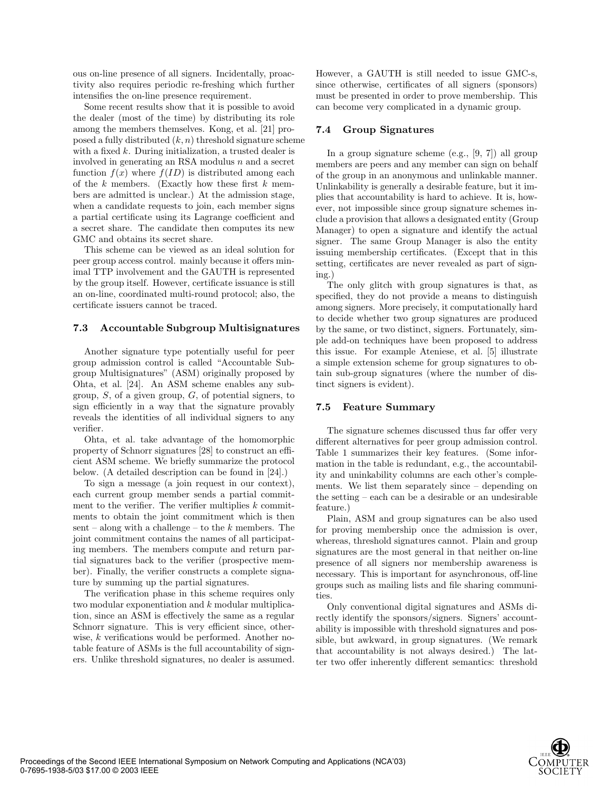ous on-line presence of all signers. Incidentally, proactivity also requires periodic re-freshing which further intensifies the on-line presence requirement.

Some recent results show that it is possible to avoid the dealer (most of the time) by distributing its role among the members themselves. Kong, et al. [21] proposed a fully distributed (*k, n*) threshold signature scheme with a fixed *k*. During initialization, a trusted dealer is involved in generating an RSA modulus *n* and a secret function  $f(x)$  where  $f(ID)$  is distributed among each of the *k* members. (Exactly how these first *k* members are admitted is unclear.) At the admission stage, when a candidate requests to join, each member signs a partial certificate using its Lagrange coefficient and a secret share. The candidate then computes its new GMC and obtains its secret share.

This scheme can be viewed as an ideal solution for peer group access control. mainly because it offers minimal TTP involvement and the GAUTH is represented by the group itself. However, certificate issuance is still an on-line, coordinated multi-round protocol; also, the certificate issuers cannot be traced.

# **7.3 Accountable Subgroup Multisignatures**

Another signature type potentially useful for peer group admission control is called "Accountable Subgroup Multisignatures" (ASM) originally proposed by Ohta, et al. [24]. An ASM scheme enables any subgroup, *S*, of a given group, *G*, of potential signers, to sign efficiently in a way that the signature provably reveals the identities of all individual signers to any verifier.

Ohta, et al. take advantage of the homomorphic property of Schnorr signatures [28] to construct an efficient ASM scheme. We briefly summarize the protocol below. (A detailed description can be found in [24].)

To sign a message (a join request in our context), each current group member sends a partial commitment to the verifier. The verifier multiplies *k* commitments to obtain the joint commitment which is then sent – along with a challenge – to the *k* members. The joint commitment contains the names of all participating members. The members compute and return partial signatures back to the verifier (prospective member). Finally, the verifier constructs a complete signature by summing up the partial signatures.

The verification phase in this scheme requires only two modular exponentiation and *k* modular multiplication, since an ASM is effectively the same as a regular Schnorr signature. This is very efficient since, otherwise, *k* verifications would be performed. Another notable feature of ASMs is the full accountability of signers. Unlike threshold signatures, no dealer is assumed.

However, a GAUTH is still needed to issue GMC-s, since otherwise, certificates of all signers (sponsors) must be presented in order to prove membership. This can become very complicated in a dynamic group.

# **7.4 Group Signatures**

In a group signature scheme (e.g., [9, 7]) all group members are peers and any member can sign on behalf of the group in an anonymous and unlinkable manner. Unlinkability is generally a desirable feature, but it implies that accountability is hard to achieve. It is, however, not impossible since group signature schemes include a provision that allows a designated entity (Group Manager) to open a signature and identify the actual signer. The same Group Manager is also the entity issuing membership certificates. (Except that in this setting, certificates are never revealed as part of signing.)

The only glitch with group signatures is that, as specified, they do not provide a means to distinguish among signers. More precisely, it computationally hard to decide whether two group signatures are produced by the same, or two distinct, signers. Fortunately, simple add-on techniques have been proposed to address this issue. For example Ateniese, et al. [5] illustrate a simple extension scheme for group signatures to obtain sub-group signatures (where the number of distinct signers is evident).

# **7.5 Feature Summary**

The signature schemes discussed thus far offer very different alternatives for peer group admission control. Table 1 summarizes their key features. (Some information in the table is redundant, e.g., the accountability and uninkability columns are each other's complements. We list them separately since – depending on the setting – each can be a desirable or an undesirable feature.)

Plain, ASM and group signatures can be also used for proving membership once the admission is over, whereas, threshold signatures cannot. Plain and group signatures are the most general in that neither on-line presence of all signers nor membership awareness is necessary. This is important for asynchronous, off-line groups such as mailing lists and file sharing communities.

Only conventional digital signatures and ASMs directly identify the sponsors/signers. Signers' accountability is impossible with threshold signatures and possible, but awkward, in group signatures. (We remark that accountability is not always desired.) The latter two offer inherently different semantics: threshold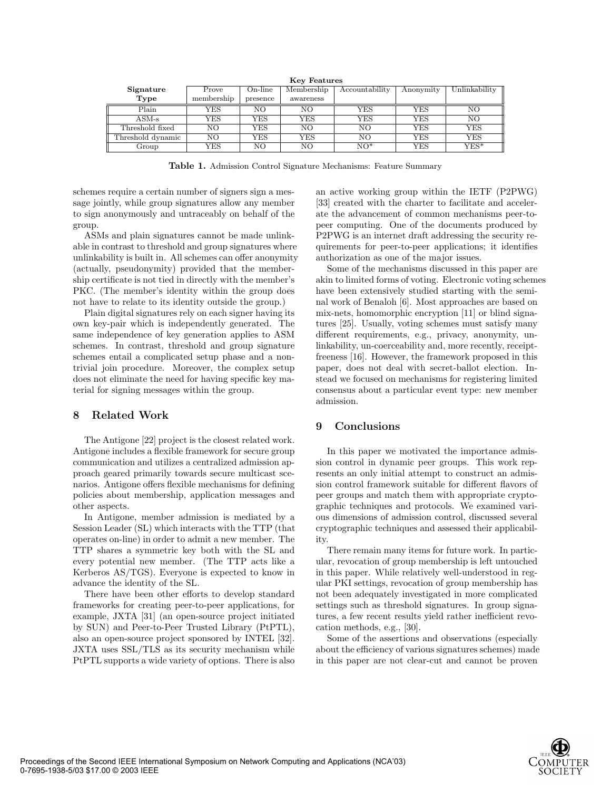| ivey reatures     |            |          |            |                |           |               |
|-------------------|------------|----------|------------|----------------|-----------|---------------|
| Signature         | Prove      | On-line  | Membership | Accountability | Anonymity | Unlinkability |
| Type              | membership | presence | awareness  |                |           |               |
| Plain             | YES        | NΟ       | NΟ         | YES            | YES       | NΟ            |
| $_{\rm ASM-s}$    | YES        | YES      | YES        | YES            | YES       | NΟ            |
| Threshold fixed   | NΟ         | YES      | NΟ         | NΟ             | YES       | YES           |
| Threshold dynamic | NO.        | YES      | YES        | NΟ             | YES       | YES           |
| Group             | YES        | NΟ       | NΟ         | $NO^*$         | YES       | $YES^*$       |

 $V_{\alpha\alpha}$  Footunes

**Table 1.** Admission Control Signature Mechanisms: Feature Summary

schemes require a certain number of signers sign a message jointly, while group signatures allow any member to sign anonymously and untraceably on behalf of the group.

ASMs and plain signatures cannot be made unlinkable in contrast to threshold and group signatures where unlinkability is built in. All schemes can offer anonymity (actually, pseudonymity) provided that the membership certificate is not tied in directly with the member's PKC. (The member's identity within the group does not have to relate to its identity outside the group.)

Plain digital signatures rely on each signer having its own key-pair which is independently generated. The same independence of key generation applies to ASM schemes. In contrast, threshold and group signature schemes entail a complicated setup phase and a nontrivial join procedure. Moreover, the complex setup does not eliminate the need for having specific key material for signing messages within the group.

# **8 Related Work**

The Antigone [22] project is the closest related work. Antigone includes a flexible framework for secure group communication and utilizes a centralized admission approach geared primarily towards secure multicast scenarios. Antigone offers flexible mechanisms for defining policies about membership, application messages and other aspects.

In Antigone, member admission is mediated by a Session Leader (SL) which interacts with the TTP (that operates on-line) in order to admit a new member. The TTP shares a symmetric key both with the SL and every potential new member. (The TTP acts like a Kerberos AS/TGS). Everyone is expected to know in advance the identity of the SL.

There have been other efforts to develop standard frameworks for creating peer-to-peer applications, for example, JXTA [31] (an open-source project initiated by SUN) and Peer-to-Peer Trusted Library (PtPTL), also an open-source project sponsored by INTEL [32]. JXTA uses SSL/TLS as its security mechanism while PtPTL supports a wide variety of options. There is also

an active working group within the IETF (P2PWG) [33] created with the charter to facilitate and accelerate the advancement of common mechanisms peer-topeer computing. One of the documents produced by P2PWG is an internet draft addressing the security requirements for peer-to-peer applications; it identifies authorization as one of the major issues.

Some of the mechanisms discussed in this paper are akin to limited forms of voting. Electronic voting schemes have been extensively studied starting with the seminal work of Benaloh [6]. Most approaches are based on mix-nets, homomorphic encryption [11] or blind signatures [25]. Usually, voting schemes must satisfy many different requirements, e.g., privacy, anonymity, unlinkability, un-coerceability and, more recently, receiptfreeness [16]. However, the framework proposed in this paper, does not deal with secret-ballot election. Instead we focused on mechanisms for registering limited consensus about a particular event type: new member admission.

# **9 Conclusions**

In this paper we motivated the importance admission control in dynamic peer groups. This work represents an only initial attempt to construct an admission control framework suitable for different flavors of peer groups and match them with appropriate cryptographic techniques and protocols. We examined various dimensions of admission control, discussed several cryptographic techniques and assessed their applicability.

There remain many items for future work. In particular, revocation of group membership is left untouched in this paper. While relatively well-understood in regular PKI settings, revocation of group membership has not been adequately investigated in more complicated settings such as threshold signatures. In group signatures, a few recent results yield rather inefficient revocation methods, e.g., [30].

Some of the assertions and observations (especially about the efficiency of various signatures schemes) made in this paper are not clear-cut and cannot be proven